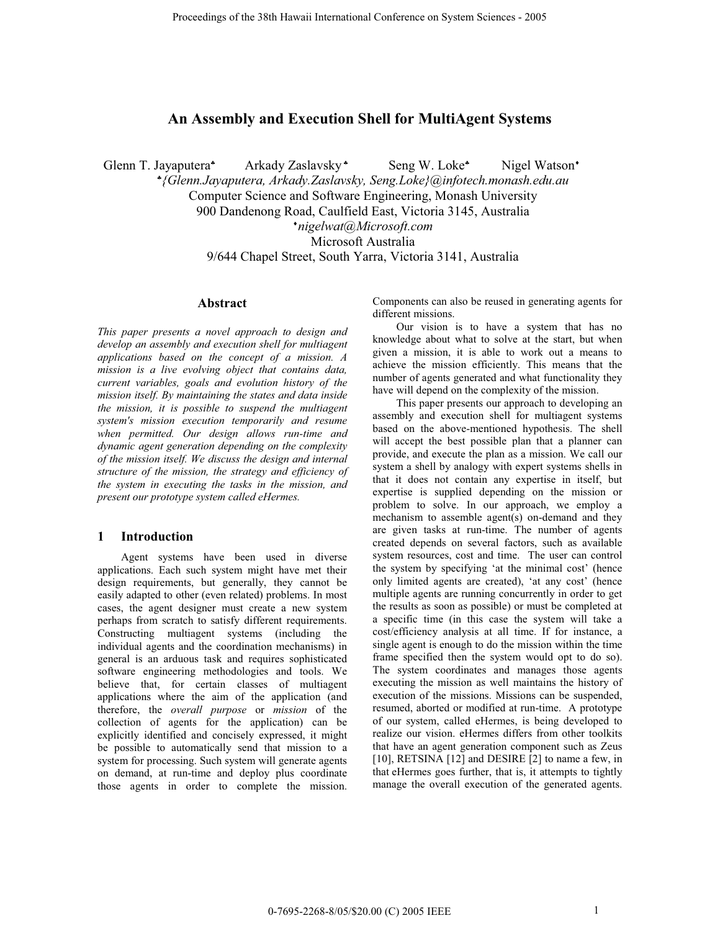# **An Assembly and Execution Shell for MultiAgent Systems**

Glenn T. Jayaputera\* Arkady Zaslavsky\* Seng W. Loke\* Nigel Watson\*

♣ *{Glenn.Jayaputera, Arkady.Zaslavsky, Seng.Loke}@infotech.monash.edu.au*  Computer Science and Software Engineering, Monash University 900 Dandenong Road, Caulfield East, Victoria 3145, Australia ♦ *nigelwat@Microsoft.com*  Microsoft Australia 9/644 Chapel Street, South Yarra, Victoria 3141, Australia

# **Abstract**

*This paper presents a novel approach to design and develop an assembly and execution shell for multiagent applications based on the concept of a mission. A mission is a live evolving object that contains data, current variables, goals and evolution history of the mission itself. By maintaining the states and data inside the mission, it is possible to suspend the multiagent system's mission execution temporarily and resume when permitted. Our design allows run-time and dynamic agent generation depending on the complexity of the mission itself. We discuss the design and internal structure of the mission, the strategy and efficiency of the system in executing the tasks in the mission, and present our prototype system called eHermes.* 

# **1 Introduction**

Agent systems have been used in diverse applications. Each such system might have met their design requirements, but generally, they cannot be easily adapted to other (even related) problems. In most cases, the agent designer must create a new system perhaps from scratch to satisfy different requirements. Constructing multiagent systems (including the individual agents and the coordination mechanisms) in general is an arduous task and requires sophisticated software engineering methodologies and tools. We believe that, for certain classes of multiagent applications where the aim of the application (and therefore, the *overall purpose* or *mission* of the collection of agents for the application) can be explicitly identified and concisely expressed, it might be possible to automatically send that mission to a system for processing. Such system will generate agents on demand, at run-time and deploy plus coordinate those agents in order to complete the mission. Components can also be reused in generating agents for different missions.

Our vision is to have a system that has no knowledge about what to solve at the start, but when given a mission, it is able to work out a means to achieve the mission efficiently. This means that the number of agents generated and what functionality they have will depend on the complexity of the mission.

This paper presents our approach to developing an assembly and execution shell for multiagent systems based on the above-mentioned hypothesis. The shell will accept the best possible plan that a planner can provide, and execute the plan as a mission. We call our system a shell by analogy with expert systems shells in that it does not contain any expertise in itself, but expertise is supplied depending on the mission or problem to solve. In our approach, we employ a mechanism to assemble agent(s) on-demand and they are given tasks at run-time. The number of agents created depends on several factors, such as available system resources, cost and time. The user can control the system by specifying 'at the minimal cost' (hence only limited agents are created), 'at any cost' (hence multiple agents are running concurrently in order to get the results as soon as possible) or must be completed at a specific time (in this case the system will take a cost/efficiency analysis at all time. If for instance, a single agent is enough to do the mission within the time frame specified then the system would opt to do so). The system coordinates and manages those agents executing the mission as well maintains the history of execution of the missions. Missions can be suspended, resumed, aborted or modified at run-time. A prototype of our system, called eHermes, is being developed to realize our vision. eHermes differs from other toolkits that have an agent generation component such as Zeus [10], RETSINA [12] and DESIRE [2] to name a few, in that eHermes goes further, that is, it attempts to tightly manage the overall execution of the generated agents.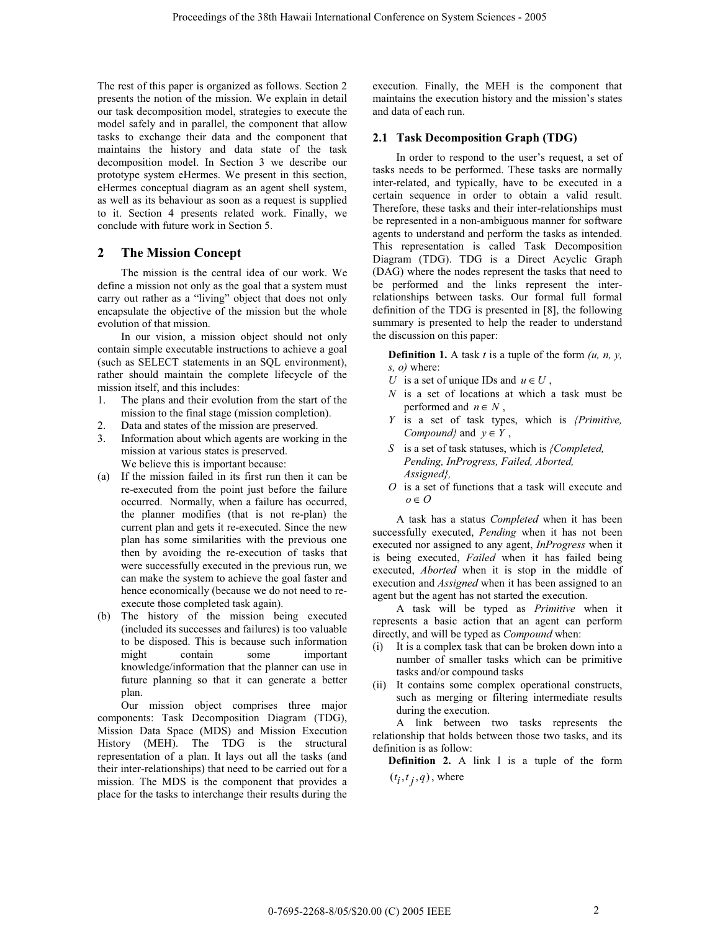The rest of this paper is organized as follows. Section 2 presents the notion of the mission. We explain in detail our task decomposition model, strategies to execute the model safely and in parallel, the component that allow tasks to exchange their data and the component that maintains the history and data state of the task decomposition model. In Section 3 we describe our prototype system eHermes. We present in this section, eHermes conceptual diagram as an agent shell system, as well as its behaviour as soon as a request is supplied to it. Section 4 presents related work. Finally, we conclude with future work in Section 5.

# **2 The Mission Concept**

The mission is the central idea of our work. We define a mission not only as the goal that a system must carry out rather as a "living" object that does not only encapsulate the objective of the mission but the whole evolution of that mission.

In our vision, a mission object should not only contain simple executable instructions to achieve a goal (such as SELECT statements in an SQL environment), rather should maintain the complete lifecycle of the mission itself, and this includes:

- 1. The plans and their evolution from the start of the mission to the final stage (mission completion).
- 2. Data and states of the mission are preserved.
- 3. Information about which agents are working in the mission at various states is preserved. We believe this is important because:
- (a) If the mission failed in its first run then it can be re-executed from the point just before the failure occurred. Normally, when a failure has occurred, the planner modifies (that is not re-plan) the current plan and gets it re-executed. Since the new plan has some similarities with the previous one then by avoiding the re-execution of tasks that were successfully executed in the previous run, we can make the system to achieve the goal faster and hence economically (because we do not need to reexecute those completed task again).
- (b) The history of the mission being executed (included its successes and failures) is too valuable to be disposed. This is because such information might contain some important knowledge/information that the planner can use in future planning so that it can generate a better plan.

Our mission object comprises three major components: Task Decomposition Diagram (TDG), Mission Data Space (MDS) and Mission Execution History (MEH). The TDG is the structural representation of a plan. It lays out all the tasks (and their inter-relationships) that need to be carried out for a mission. The MDS is the component that provides a place for the tasks to interchange their results during the

execution. Finally, the MEH is the component that maintains the execution history and the mission's states and data of each run.

#### **2.1 Task Decomposition Graph (TDG)**

In order to respond to the user's request, a set of tasks needs to be performed. These tasks are normally inter-related, and typically, have to be executed in a certain sequence in order to obtain a valid result. Therefore, these tasks and their inter-relationships must be represented in a non-ambiguous manner for software agents to understand and perform the tasks as intended. This representation is called Task Decomposition Diagram (TDG). TDG is a Direct Acyclic Graph (DAG) where the nodes represent the tasks that need to be performed and the links represent the interrelationships between tasks. Our formal full formal definition of the TDG is presented in [8], the following summary is presented to help the reader to understand the discussion on this paper:

**Definition 1.** A task  $t$  is a tuple of the form  $(u, n, y)$ , *s, o)* where:

- *U* is a set of unique IDs and  $u \in U$ ,
- *N* is a set of locations at which a task must be performed and  $n \in N$ ,
- *Y* is a set of task types, which is *{Primitive, Compound*} and  $y \in Y$ ,
- *S* is a set of task statuses, which is *{Completed, Pending, InProgress, Failed, Aborted, Assigned},*
- *O* is a set of functions that a task will execute and *o*∈ *O*

A task has a status *Completed* when it has been successfully executed, *Pending* when it has not been executed nor assigned to any agent, *InProgress* when it is being executed, *Failed* when it has failed being executed, *Aborted* when it is stop in the middle of execution and *Assigned* when it has been assigned to an agent but the agent has not started the execution.

A task will be typed as *Primitive* when it represents a basic action that an agent can perform directly, and will be typed as *Compound* when:

- (i) It is a complex task that can be broken down into a number of smaller tasks which can be primitive tasks and/or compound tasks
- (ii) It contains some complex operational constructs, such as merging or filtering intermediate results during the execution.

A link between two tasks represents the relationship that holds between those two tasks, and its definition is as follow:

**Definition 2.** A link l is a tuple of the form  $(t_i, t_j, q)$ , where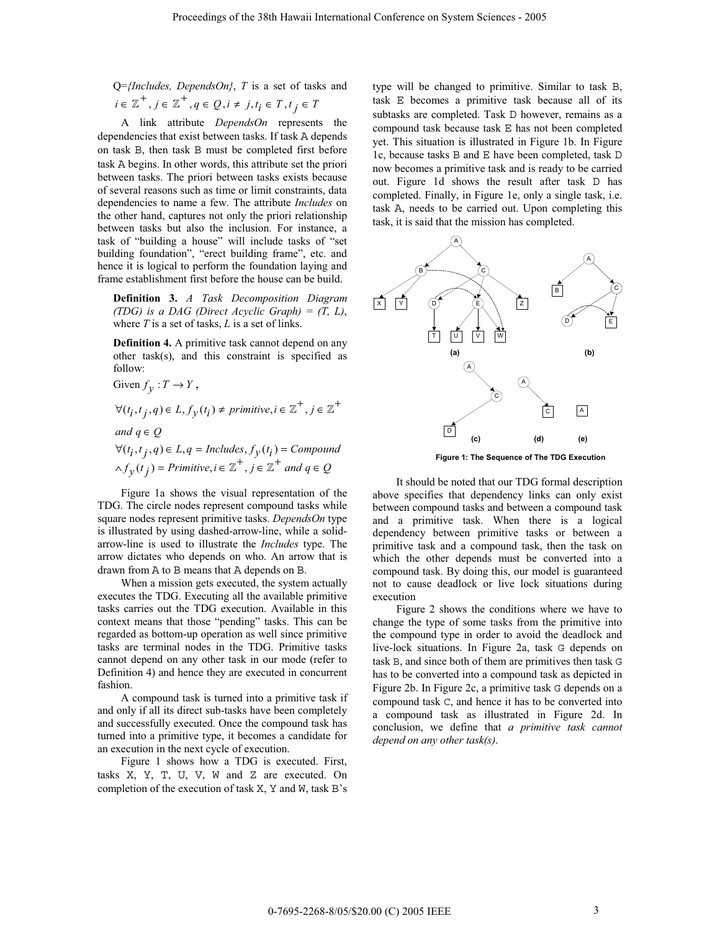Q=*{Includes, DependsOn}*, *T* is a set of tasks and  $i \in \mathbb{Z}^+, j \in \mathbb{Z}^+, q \in Q, i \neq j, t_i \in T, t_j \in T$ 

A link attribute *DependsOn* represents the dependencies that exist between tasks. If task A depends on task B, then task B must be completed first before task A begins. In other words, this attribute set the priori between tasks. The priori between tasks exists because of several reasons such as time or limit constraints, data dependencies to name a few. The attribute *Includes* on the other hand, captures not only the priori relationship between tasks but also the inclusion. For instance, a task of "building a house" will include tasks of "set building foundation", "erect building frame", etc. and hence it is logical to perform the foundation laying and frame establishment first before the house can be build.

**Definition 3.** *A Task Decomposition Diagram (TDG) is a DAG (Direct Acyclic Graph) = (T, L)*, where *T* is a set of tasks, *L* is a set of links.

**Definition 4.** A primitive task cannot depend on any other task(s), and this constraint is specified as follow:

Given 
$$
f_y : T \to Y
$$
,  
\n $\forall (t_i, t_j, q) \in L$ ,  $f_y(t_i) \neq primitive, i \in \mathbb{Z}^+, j \in \mathbb{Z}^+$   
\nand  $q \in Q$   
\n $\forall (t_i, t_j, q) \in L$ ,  $q = \text{Includes}$ ,  $f_y(t_i) = \text{Compound}$   
\n $\land f_y(t_j) = \text{Primitive}, i \in \mathbb{Z}^+, j \in \mathbb{Z}^+ \text{ and } q \in Q$ 

Figure 1a shows the visual representation of the TDG. The circle nodes represent compound tasks while square nodes represent primitive tasks. *DependsOn* type is illustrated by using dashed-arrow-line, while a solidarrow-line is used to illustrate the *Includes* type. The arrow dictates who depends on who. An arrow that is drawn from A to B means that A depends on B.

When a mission gets executed, the system actually executes the TDG. Executing all the available primitive tasks carries out the TDG execution. Available in this context means that those "pending" tasks. This can be regarded as bottom-up operation as well since primitive tasks are terminal nodes in the TDG. Primitive tasks cannot depend on any other task in our mode (refer to Definition 4) and hence they are executed in concurrent fashion.

A compound task is turned into a primitive task if and only if all its direct sub-tasks have been completely and successfully executed. Once the compound task has turned into a primitive type, it becomes a candidate for an execution in the next cycle of execution.

Figure 1 shows how a TDG is executed. First, tasks X, Y, T, U, V, W and Z are executed. On completion of the execution of task X, Y and W, task B's

type will be changed to primitive. Similar to task B, task E becomes a primitive task because all of its subtasks are completed. Task D however, remains as a compound task because task E has not been completed yet. This situation is illustrated in Figure 1b. In Figure 1c, because tasks B and E have been completed, task D now becomes a primitive task and is ready to be carried out. Figure 1d shows the result after task D has completed. Finally, in Figure 1e, only a single task, i.e. task A, needs to be carried out. Upon completing this task, it is said that the mission has completed.



**Figure 1: The Sequence of The TDG Execution**

It should be noted that our TDG formal description above specifies that dependency links can only exist between compound tasks and between a compound task and a primitive task. When there is a logical dependency between primitive tasks or between a primitive task and a compound task, then the task on which the other depends must be converted into a compound task. By doing this, our model is guaranteed not to cause deadlock or live lock situations during execution

Figure 2 shows the conditions where we have to change the type of some tasks from the primitive into the compound type in order to avoid the deadlock and live-lock situations. In Figure 2a, task G depends on task B, and since both of them are primitives then task G has to be converted into a compound task as depicted in Figure 2b. In Figure 2c, a primitive task G depends on a compound task C, and hence it has to be converted into a compound task as illustrated in Figure 2d. In conclusion, we define that *a primitive task cannot depend on any other task(s)*.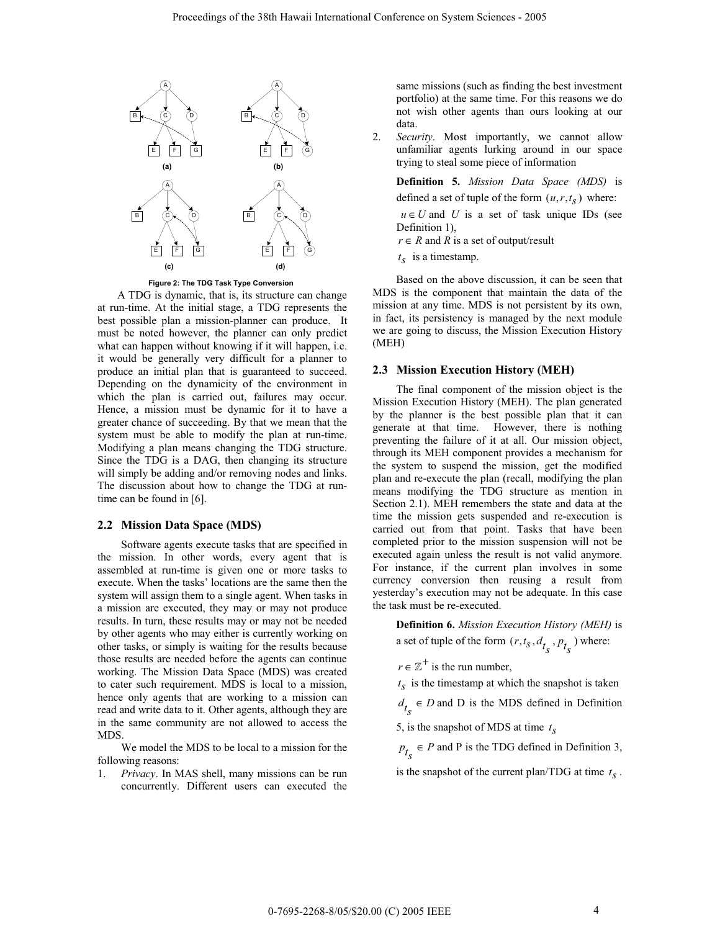

**Figure 2: The TDG Task Type Conversion**

A TDG is dynamic, that is, its structure can change at run-time. At the initial stage, a TDG represents the best possible plan a mission-planner can produce. It must be noted however, the planner can only predict what can happen without knowing if it will happen, i.e. it would be generally very difficult for a planner to produce an initial plan that is guaranteed to succeed. Depending on the dynamicity of the environment in which the plan is carried out, failures may occur. Hence, a mission must be dynamic for it to have a greater chance of succeeding. By that we mean that the system must be able to modify the plan at run-time. Modifying a plan means changing the TDG structure. Since the TDG is a DAG, then changing its structure will simply be adding and/or removing nodes and links. The discussion about how to change the TDG at runtime can be found in [6].

#### **2.2 Mission Data Space (MDS)**

Software agents execute tasks that are specified in the mission. In other words, every agent that is assembled at run-time is given one or more tasks to execute. When the tasks' locations are the same then the system will assign them to a single agent. When tasks in a mission are executed, they may or may not produce results. In turn, these results may or may not be needed by other agents who may either is currently working on other tasks, or simply is waiting for the results because those results are needed before the agents can continue working. The Mission Data Space (MDS) was created to cater such requirement. MDS is local to a mission, hence only agents that are working to a mission can read and write data to it. Other agents, although they are in the same community are not allowed to access the MDS.

We model the MDS to be local to a mission for the following reasons:

1. *Privacy*. In MAS shell, many missions can be run concurrently. Different users can executed the same missions (such as finding the best investment portfolio) at the same time. For this reasons we do not wish other agents than ours looking at our data.

2. *Security*. Most importantly, we cannot allow unfamiliar agents lurking around in our space trying to steal some piece of information

**Definition 5.** *Mission Data Space (MDS)* is defined a set of tuple of the form  $(u, r, t_s)$  where:

 $u \in U$  and *U* is a set of task unique IDs (see Definition 1),

 $r \in R$  and *R* is a set of output/result

 $t_s$  is a timestamp.

Based on the above discussion, it can be seen that MDS is the component that maintain the data of the mission at any time. MDS is not persistent by its own, in fact, its persistency is managed by the next module we are going to discuss, the Mission Execution History (MEH)

#### **2.3 Mission Execution History (MEH)**

The final component of the mission object is the Mission Execution History (MEH). The plan generated by the planner is the best possible plan that it can generate at that time. However, there is nothing preventing the failure of it at all. Our mission object, through its MEH component provides a mechanism for the system to suspend the mission, get the modified plan and re-execute the plan (recall, modifying the plan means modifying the TDG structure as mention in Section 2.1). MEH remembers the state and data at the time the mission gets suspended and re-execution is carried out from that point. Tasks that have been completed prior to the mission suspension will not be executed again unless the result is not valid anymore. For instance, if the current plan involves in some currency conversion then reusing a result from yesterday's execution may not be adequate. In this case the task must be re-executed.

**Definition 6.** *Mission Execution History (MEH)* is a set of tuple of the form  $(r, t_S, d_{t_S}, p_{t_S})$  where:

 $r \in \mathbb{Z}^+$  is the run number,

 $t<sub>s</sub>$  is the timestamp at which the snapshot is taken

 $d_{t_s} \in D$  and D is the MDS defined in Definition

5, is the snapshot of MDS at time  $t_s$ 

 $p_{t_s} \in P$  and P is the TDG defined in Definition 3,

is the snapshot of the current plan/TDG at time  $t_s$ .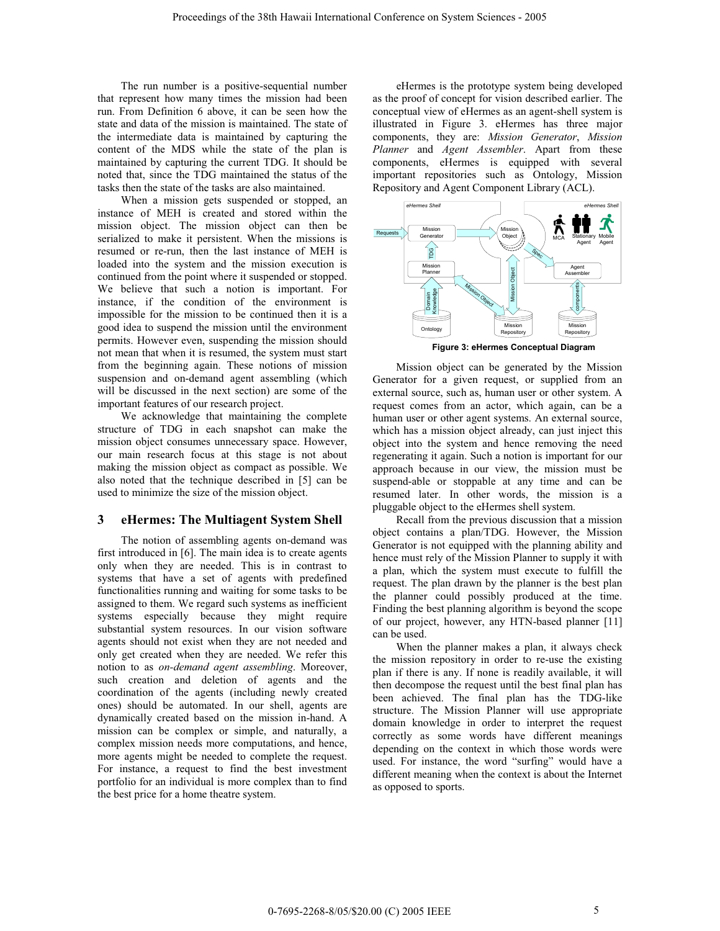The run number is a positive-sequential number that represent how many times the mission had been run. From Definition 6 above, it can be seen how the state and data of the mission is maintained. The state of the intermediate data is maintained by capturing the content of the MDS while the state of the plan is maintained by capturing the current TDG. It should be noted that, since the TDG maintained the status of the tasks then the state of the tasks are also maintained.

When a mission gets suspended or stopped, an instance of MEH is created and stored within the mission object. The mission object can then be serialized to make it persistent. When the missions is resumed or re-run, then the last instance of MEH is loaded into the system and the mission execution is continued from the point where it suspended or stopped. We believe that such a notion is important. For instance, if the condition of the environment is impossible for the mission to be continued then it is a good idea to suspend the mission until the environment permits. However even, suspending the mission should not mean that when it is resumed, the system must start from the beginning again. These notions of mission suspension and on-demand agent assembling (which will be discussed in the next section) are some of the important features of our research project.

We acknowledge that maintaining the complete structure of TDG in each snapshot can make the mission object consumes unnecessary space. However, our main research focus at this stage is not about making the mission object as compact as possible. We also noted that the technique described in [5] can be used to minimize the size of the mission object.

### **3 eHermes: The Multiagent System Shell**

The notion of assembling agents on-demand was first introduced in [6]. The main idea is to create agents only when they are needed. This is in contrast to systems that have a set of agents with predefined functionalities running and waiting for some tasks to be assigned to them. We regard such systems as inefficient systems especially because they might require substantial system resources. In our vision software agents should not exist when they are not needed and only get created when they are needed. We refer this notion to as *on-demand agent assembling*. Moreover, such creation and deletion of agents and the coordination of the agents (including newly created ones) should be automated. In our shell, agents are dynamically created based on the mission in-hand. A mission can be complex or simple, and naturally, a complex mission needs more computations, and hence, more agents might be needed to complete the request. For instance, a request to find the best investment portfolio for an individual is more complex than to find the best price for a home theatre system.

eHermes is the prototype system being developed as the proof of concept for vision described earlier. The conceptual view of eHermes as an agent-shell system is illustrated in Figure 3. eHermes has three major components, they are: *Mission Generator*, *Mission Planner* and *Agent Assembler*. Apart from these components, eHermes is equipped with several important repositories such as Ontology, Mission Repository and Agent Component Library (ACL).



Mission object can be generated by the Mission Generator for a given request, or supplied from an external source, such as, human user or other system. A request comes from an actor, which again, can be a human user or other agent systems. An external source, which has a mission object already, can just inject this object into the system and hence removing the need regenerating it again. Such a notion is important for our approach because in our view, the mission must be suspend-able or stoppable at any time and can be resumed later. In other words, the mission is a pluggable object to the eHermes shell system.

Recall from the previous discussion that a mission object contains a plan/TDG. However, the Mission Generator is not equipped with the planning ability and hence must rely of the Mission Planner to supply it with a plan, which the system must execute to fulfill the request. The plan drawn by the planner is the best plan the planner could possibly produced at the time. Finding the best planning algorithm is beyond the scope of our project, however, any HTN-based planner [11] can be used.

When the planner makes a plan, it always check the mission repository in order to re-use the existing plan if there is any. If none is readily available, it will then decompose the request until the best final plan has been achieved. The final plan has the TDG-like structure. The Mission Planner will use appropriate domain knowledge in order to interpret the request correctly as some words have different meanings depending on the context in which those words were used. For instance, the word "surfing" would have a different meaning when the context is about the Internet as opposed to sports.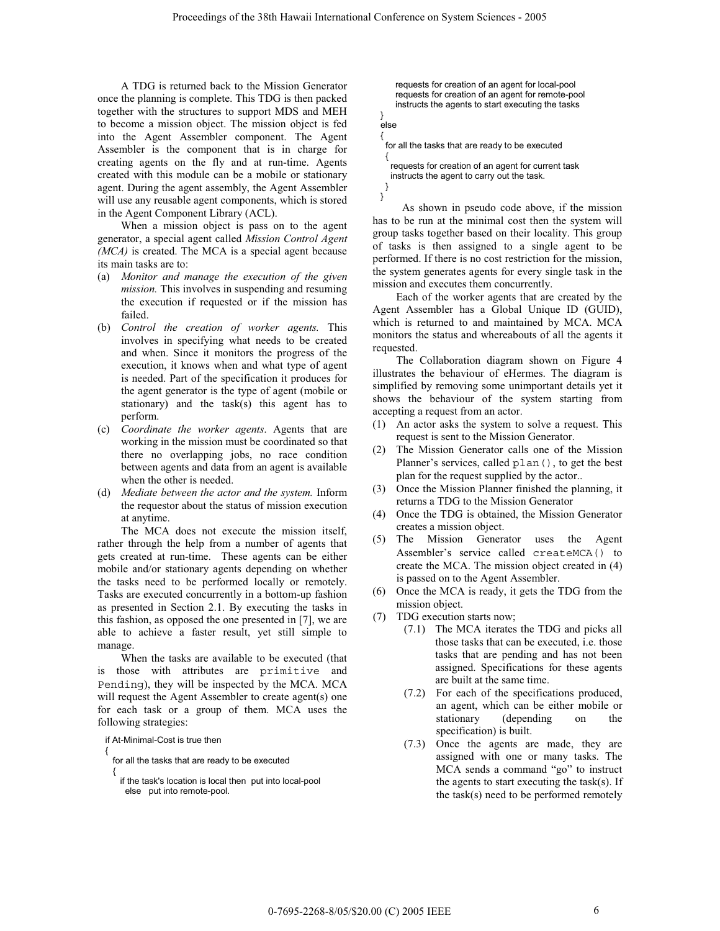A TDG is returned back to the Mission Generator once the planning is complete. This TDG is then packed together with the structures to support MDS and MEH to become a mission object. The mission object is fed into the Agent Assembler component. The Agent Assembler is the component that is in charge for creating agents on the fly and at run-time. Agents created with this module can be a mobile or stationary agent. During the agent assembly, the Agent Assembler will use any reusable agent components, which is stored in the Agent Component Library (ACL).

When a mission object is pass on to the agent generator, a special agent called *Mission Control Agent (MCA)* is created. The MCA is a special agent because its main tasks are to:

- (a) *Monitor and manage the execution of the given mission.* This involves in suspending and resuming the execution if requested or if the mission has failed.
- (b) *Control the creation of worker agents.* This involves in specifying what needs to be created and when. Since it monitors the progress of the execution, it knows when and what type of agent is needed. Part of the specification it produces for the agent generator is the type of agent (mobile or stationary) and the task(s) this agent has to perform.
- (c) *Coordinate the worker agents*. Agents that are working in the mission must be coordinated so that there no overlapping jobs, no race condition between agents and data from an agent is available when the other is needed.
- (d) *Mediate between the actor and the system.* Inform the requestor about the status of mission execution at anytime.

The MCA does not execute the mission itself, rather through the help from a number of agents that gets created at run-time. These agents can be either mobile and/or stationary agents depending on whether the tasks need to be performed locally or remotely. Tasks are executed concurrently in a bottom-up fashion as presented in Section 2.1. By executing the tasks in this fashion, as opposed the one presented in [7], we are able to achieve a faster result, yet still simple to manage.

When the tasks are available to be executed (that is those with attributes are primitive and Pending), they will be inspected by the MCA. MCA will request the Agent Assembler to create agent(s) one for each task or a group of them. MCA uses the following strategies:

if At-Minimal-Cost is true then

{

for all the tasks that are ready to be executed

 requests for creation of an agent for local-pool requests for creation of an agent for remote-pool instructs the agents to start executing the tasks

```
} 
else
```
{ for all the tasks that are ready to be executed

```
 { 
    requests for creation of an agent for current task 
    instructs the agent to carry out the task. 
 } 
}
```
 As shown in pseudo code above, if the mission has to be run at the minimal cost then the system will group tasks together based on their locality. This group of tasks is then assigned to a single agent to be performed. If there is no cost restriction for the mission, the system generates agents for every single task in the mission and executes them concurrently.

Each of the worker agents that are created by the Agent Assembler has a Global Unique ID (GUID), which is returned to and maintained by MCA. MCA monitors the status and whereabouts of all the agents it requested.

The Collaboration diagram shown on Figure 4 illustrates the behaviour of eHermes. The diagram is simplified by removing some unimportant details yet it shows the behaviour of the system starting from accepting a request from an actor.

- (1) An actor asks the system to solve a request. This request is sent to the Mission Generator.
- (2) The Mission Generator calls one of the Mission Planner's services, called plan(), to get the best plan for the request supplied by the actor..
- (3) Once the Mission Planner finished the planning, it returns a TDG to the Mission Generator
- (4) Once the TDG is obtained, the Mission Generator creates a mission object.
- (5) The Mission Generator uses the Agent Assembler's service called createMCA() to create the MCA. The mission object created in (4) is passed on to the Agent Assembler.
- (6) Once the MCA is ready, it gets the TDG from the mission object.
- (7) TDG execution starts now;
	- (7.1) The MCA iterates the TDG and picks all those tasks that can be executed, i.e. those tasks that are pending and has not been assigned. Specifications for these agents are built at the same time.
	- (7.2) For each of the specifications produced, an agent, which can be either mobile or stationary (depending on the specification) is built.
	- (7.3) Once the agents are made, they are assigned with one or many tasks. The MCA sends a command "go" to instruct the agents to start executing the  $task(s)$ . If the task(s) need to be performed remotely

 <sup>{</sup>  if the task's location is local then put into local-pool else put into remote-pool.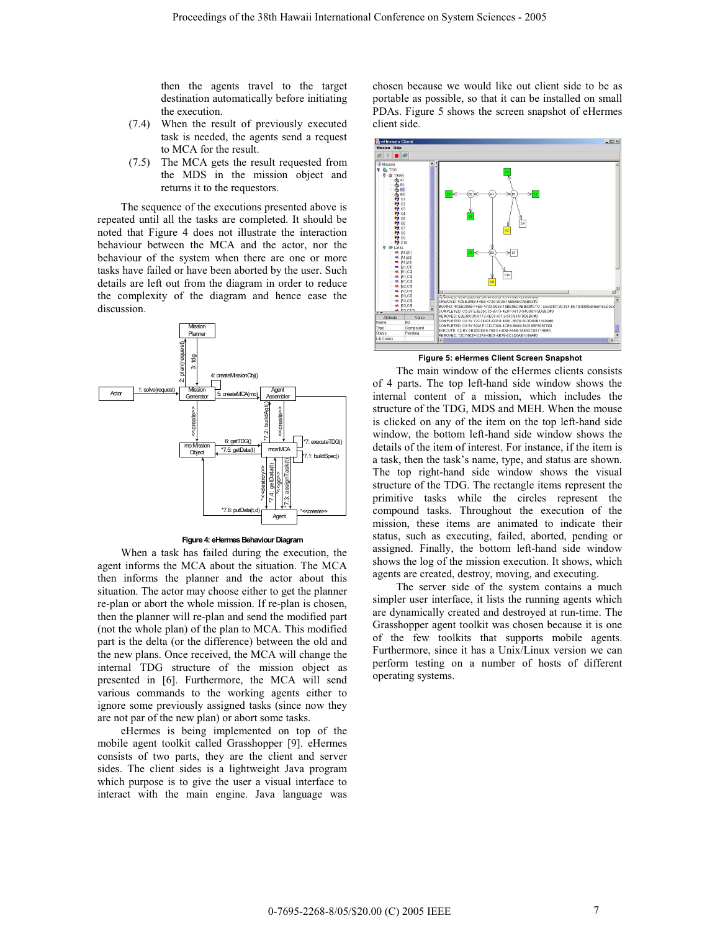then the agents travel to the target destination automatically before initiating the execution.

- (7.4) When the result of previously executed task is needed, the agents send a request to MCA for the result.
- (7.5) The MCA gets the result requested from the MDS in the mission object and returns it to the requestors.

The sequence of the executions presented above is repeated until all the tasks are completed. It should be noted that Figure 4 does not illustrate the interaction behaviour between the MCA and the actor, nor the behaviour of the system when there are one or more tasks have failed or have been aborted by the user. Such details are left out from the diagram in order to reduce the complexity of the diagram and hence ease the discussion.



#### **Figure 4: eHermes Behaviour Diagram**

When a task has failed during the execution, the agent informs the MCA about the situation. The MCA then informs the planner and the actor about this situation. The actor may choose either to get the planner re-plan or abort the whole mission. If re-plan is chosen, then the planner will re-plan and send the modified part (not the whole plan) of the plan to MCA. This modified part is the delta (or the difference) between the old and the new plans. Once received, the MCA will change the internal TDG structure of the mission object as presented in [6]. Furthermore, the MCA will send various commands to the working agents either to ignore some previously assigned tasks (since now they are not par of the new plan) or abort some tasks.

eHermes is being implemented on top of the mobile agent toolkit called Grasshopper [9]. eHermes consists of two parts, they are the client and server sides. The client sides is a lightweight Java program which purpose is to give the user a visual interface to interact with the main engine. Java language was

chosen because we would like out client side to be as portable as possible, so that it can be installed on small PDAs. Figure 5 shows the screen snapshot of eHermes client side.



**Figure 5: eHermes Client Screen Snapshot**

The main window of the eHermes clients consists of 4 parts. The top left-hand side window shows the internal content of a mission, which includes the structure of the TDG, MDS and MEH. When the mouse is clicked on any of the item on the top left-hand side window, the bottom left-hand side window shows the details of the item of interest. For instance, if the item is a task, then the task's name, type, and status are shown. The top right-hand side window shows the visual structure of the TDG. The rectangle items represent the primitive tasks while the circles represent the compound tasks. Throughout the execution of the mission, these items are animated to indicate their status, such as executing, failed, aborted, pending or assigned. Finally, the bottom left-hand side window shows the log of the mission execution. It shows, which agents are created, destroy, moving, and executing.

The server side of the system contains a much simpler user interface, it lists the running agents which are dynamically created and destroyed at run-time. The Grasshopper agent toolkit was chosen because it is one of the few toolkits that supports mobile agents. Furthermore, since it has a Unix/Linux version we can perform testing on a number of hosts of different operating systems.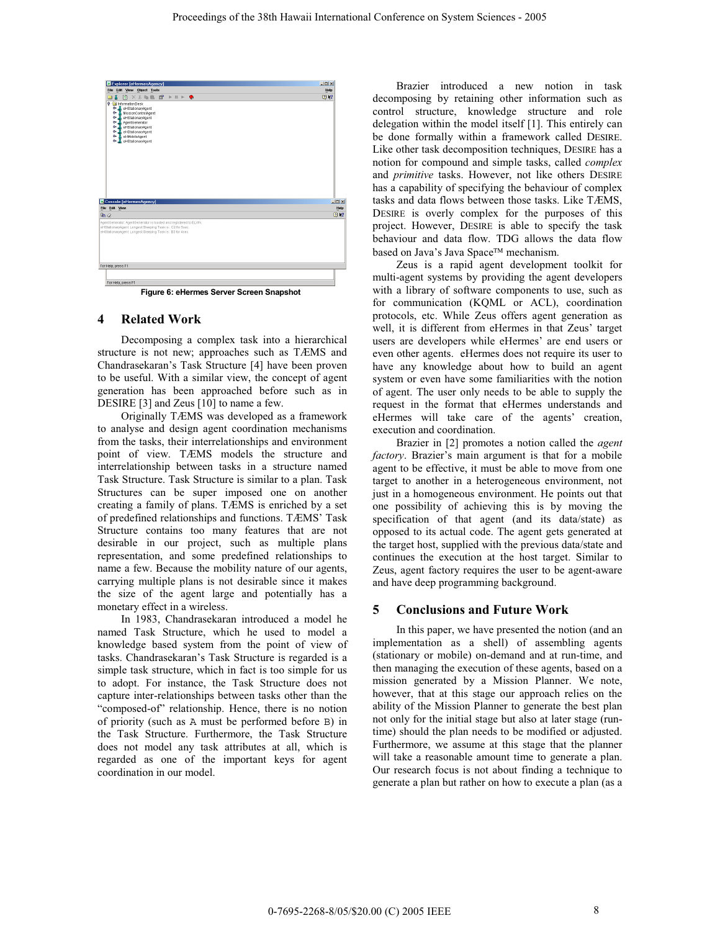

**Figure 6: eHermes Server Screen Snapshot**

### **4 Related Work**

Decomposing a complex task into a hierarchical structure is not new; approaches such as TÆMS and Chandrasekaran's Task Structure [4] have been proven to be useful. With a similar view, the concept of agent generation has been approached before such as in DESIRE [3] and Zeus [10] to name a few.

Originally TÆMS was developed as a framework to analyse and design agent coordination mechanisms from the tasks, their interrelationships and environment point of view. TÆMS models the structure and interrelationship between tasks in a structure named Task Structure. Task Structure is similar to a plan. Task Structures can be super imposed one on another creating a family of plans. TÆMS is enriched by a set of predefined relationships and functions. TÆMS' Task Structure contains too many features that are not desirable in our project, such as multiple plans representation, and some predefined relationships to name a few. Because the mobility nature of our agents, carrying multiple plans is not desirable since it makes the size of the agent large and potentially has a monetary effect in a wireless.

In 1983, Chandrasekaran introduced a model he named Task Structure, which he used to model a knowledge based system from the point of view of tasks. Chandrasekaran's Task Structure is regarded is a simple task structure, which in fact is too simple for us to adopt. For instance, the Task Structure does not capture inter-relationships between tasks other than the "composed-of" relationship. Hence, there is no notion of priority (such as A must be performed before B) in the Task Structure. Furthermore, the Task Structure does not model any task attributes at all, which is regarded as one of the important keys for agent coordination in our model.

Brazier introduced a new notion in task decomposing by retaining other information such as control structure, knowledge structure and role delegation within the model itself [1]. This entirely can be done formally within a framework called DESIRE. Like other task decomposition techniques, DESIRE has a notion for compound and simple tasks, called *complex* and *primitive* tasks. However, not like others DESIRE has a capability of specifying the behaviour of complex tasks and data flows between those tasks. Like TÆMS, DESIRE is overly complex for the purposes of this project. However, DESIRE is able to specify the task behaviour and data flow. TDG allows the data flow based on Java's Java Space™ mechanism.

Zeus is a rapid agent development toolkit for multi-agent systems by providing the agent developers with a library of software components to use, such as for communication (KQML or ACL), coordination protocols, etc. While Zeus offers agent generation as well, it is different from eHermes in that Zeus' target users are developers while eHermes' are end users or even other agents. eHermes does not require its user to have any knowledge about how to build an agent system or even have some familiarities with the notion of agent. The user only needs to be able to supply the request in the format that eHermes understands and eHermes will take care of the agents' creation, execution and coordination.

Brazier in [2] promotes a notion called the *agent factory*. Brazier's main argument is that for a mobile agent to be effective, it must be able to move from one target to another in a heterogeneous environment, not just in a homogeneous environment. He points out that one possibility of achieving this is by moving the specification of that agent (and its data/state) as opposed to its actual code. The agent gets generated at the target host, supplied with the previous data/state and continues the execution at the host target. Similar to Zeus, agent factory requires the user to be agent-aware and have deep programming background.

# **5 Conclusions and Future Work**

In this paper, we have presented the notion (and an implementation as a shell) of assembling agents (stationary or mobile) on-demand and at run-time, and then managing the execution of these agents, based on a mission generated by a Mission Planner. We note, however, that at this stage our approach relies on the ability of the Mission Planner to generate the best plan not only for the initial stage but also at later stage (runtime) should the plan needs to be modified or adjusted. Furthermore, we assume at this stage that the planner will take a reasonable amount time to generate a plan. Our research focus is not about finding a technique to generate a plan but rather on how to execute a plan (as a